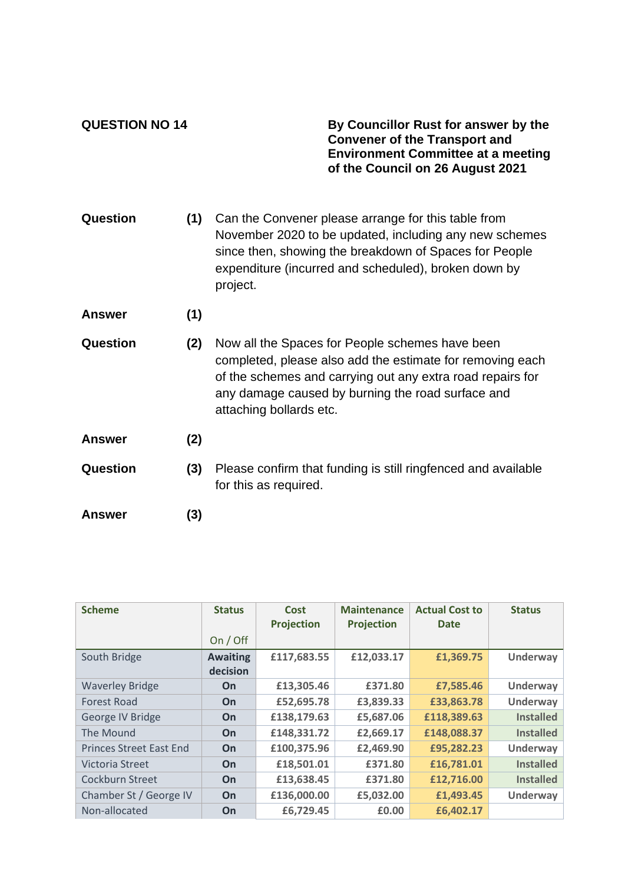**QUESTION NO 14 By Councillor Rust for answer by the Convener of the Transport and Environment Committee at a meeting of the Council on 26 August 2021**

| Question        | (1) | Can the Convener please arrange for this table from<br>November 2020 to be updated, including any new schemes<br>since then, showing the breakdown of Spaces for People<br>expenditure (incurred and scheduled), broken down by<br>project.                |
|-----------------|-----|------------------------------------------------------------------------------------------------------------------------------------------------------------------------------------------------------------------------------------------------------------|
| <b>Answer</b>   | (1) |                                                                                                                                                                                                                                                            |
| Question        | (2) | Now all the Spaces for People schemes have been<br>completed, please also add the estimate for removing each<br>of the schemes and carrying out any extra road repairs for<br>any damage caused by burning the road surface and<br>attaching bollards etc. |
| <b>Answer</b>   | (2) |                                                                                                                                                                                                                                                            |
| <b>Question</b> | (3) | Please confirm that funding is still ringfenced and available<br>for this as required.                                                                                                                                                                     |
| Answer          | (3) |                                                                                                                                                                                                                                                            |

| <b>Scheme</b>                  | <b>Status</b>   | Cost<br><b>Projection</b> | <b>Maintenance</b><br><b>Projection</b> | <b>Actual Cost to</b><br><b>Date</b> | <b>Status</b>    |
|--------------------------------|-----------------|---------------------------|-----------------------------------------|--------------------------------------|------------------|
|                                | On / Off        |                           |                                         |                                      |                  |
| South Bridge                   | <b>Awaiting</b> | £117,683.55               | £12,033.17                              | £1,369.75                            | Underway         |
|                                | decision        |                           |                                         |                                      |                  |
| <b>Waverley Bridge</b>         | <b>On</b>       | £13,305.46                | £371.80                                 | £7,585.46                            | Underway         |
| <b>Forest Road</b>             | <b>On</b>       | £52,695.78                | £3,839.33                               | £33,863.78                           | Underway         |
| George IV Bridge               | <b>On</b>       | £138,179.63               | £5,687.06                               | £118,389.63                          | <b>Installed</b> |
| The Mound                      | On              | £148,331.72               | £2,669.17                               | £148,088.37                          | <b>Installed</b> |
| <b>Princes Street East End</b> | On              | £100,375.96               | £2,469.90                               | £95,282.23                           | Underway         |
| Victoria Street                | <b>On</b>       | £18,501.01                | £371.80                                 | £16,781.01                           | <b>Installed</b> |
| Cockburn Street                | On              | £13,638.45                | £371.80                                 | £12,716.00                           | <b>Installed</b> |
| Chamber St / George IV         | <b>On</b>       | £136,000.00               | £5,032.00                               | £1,493.45                            | Underway         |
| Non-allocated                  | On              | £6,729.45                 | £0.00                                   | £6,402.17                            |                  |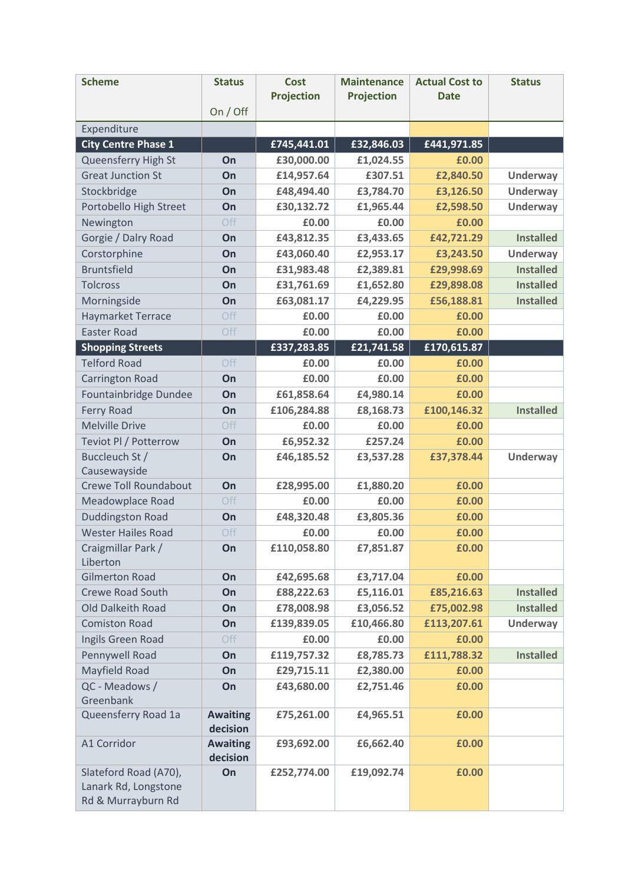| <b>Scheme</b>                                                       | <b>Status</b>               | <b>Cost</b><br><b>Projection</b> | <b>Maintenance</b><br><b>Projection</b> | <b>Actual Cost to</b><br><b>Date</b> | <b>Status</b>    |
|---------------------------------------------------------------------|-----------------------------|----------------------------------|-----------------------------------------|--------------------------------------|------------------|
|                                                                     | On / Off                    |                                  |                                         |                                      |                  |
| Expenditure                                                         |                             |                                  |                                         |                                      |                  |
| <b>City Centre Phase 1</b>                                          |                             | £745,441.01                      | £32,846.03                              | £441,971.85                          |                  |
| Queensferry High St                                                 | On                          | £30,000.00                       | £1,024.55                               | £0.00                                |                  |
| <b>Great Junction St</b>                                            | On                          | £14,957.64                       | £307.51                                 | £2,840.50                            | <b>Underway</b>  |
| Stockbridge                                                         | On                          | £48,494.40                       | £3,784.70                               | £3,126.50                            | <b>Underway</b>  |
| Portobello High Street                                              | On                          | £30,132.72                       | £1,965.44                               | £2,598.50                            | <b>Underway</b>  |
| Newington                                                           | Off                         | £0.00                            | £0.00                                   | £0.00                                |                  |
| Gorgie / Dalry Road                                                 | On                          | £43,812.35                       | £3,433.65                               | £42,721.29                           | <b>Installed</b> |
| Corstorphine                                                        | On                          | £43,060.40                       | £2,953.17                               | £3,243.50                            | <b>Underway</b>  |
| <b>Bruntsfield</b>                                                  | On                          | £31,983.48                       | £2,389.81                               | £29,998.69                           | <b>Installed</b> |
| <b>Tolcross</b>                                                     | On                          | £31,761.69                       | £1,652.80                               | £29,898.08                           | <b>Installed</b> |
| Morningside                                                         | On                          | £63,081.17                       | £4,229.95                               | £56,188.81                           | <b>Installed</b> |
| <b>Haymarket Terrace</b>                                            | Off                         | £0.00                            | £0.00                                   | £0.00                                |                  |
| <b>Easter Road</b>                                                  | Off                         | £0.00                            | £0.00                                   | £0.00                                |                  |
| <b>Shopping Streets</b>                                             |                             | £337,283.85                      | £21,741.58                              | £170,615.87                          |                  |
| <b>Telford Road</b>                                                 | Off                         | £0.00                            | £0.00                                   | £0.00                                |                  |
| <b>Carrington Road</b>                                              | On                          | £0.00                            | £0.00                                   | £0.00                                |                  |
| Fountainbridge Dundee                                               | On                          | £61,858.64                       | £4,980.14                               | £0.00                                |                  |
| <b>Ferry Road</b>                                                   | On                          | £106,284.88                      | £8,168.73                               | £100,146.32                          | <b>Installed</b> |
| <b>Melville Drive</b>                                               | Off                         | £0.00                            | £0.00                                   | £0.00                                |                  |
| Teviot Pl / Potterrow                                               | On                          | £6,952.32                        | £257.24                                 | £0.00                                |                  |
| Buccleuch St /                                                      | On                          | £46,185.52                       | £3,537.28                               | £37,378.44                           | <b>Underway</b>  |
| Causewayside                                                        |                             |                                  |                                         |                                      |                  |
| Crewe Toll Roundabout                                               | On                          | £28,995.00                       | £1,880.20                               | £0.00                                |                  |
| Meadowplace Road                                                    | Off                         | £0.00                            | £0.00                                   | £0.00                                |                  |
| <b>Duddingston Road</b>                                             | On                          | £48,320.48                       | £3,805.36                               | £0.00                                |                  |
| <b>Wester Hailes Road</b>                                           | Off                         | £0.00                            | £0.00                                   | £0.00                                |                  |
| Craigmillar Park /<br>Liberton                                      | On                          | £110,058.80                      | £7,851.87                               | £0.00                                |                  |
| <b>Gilmerton Road</b>                                               | On                          | £42,695.68                       | £3,717.04                               | £0.00                                |                  |
| <b>Crewe Road South</b>                                             | On                          | £88,222.63                       | £5,116.01                               | £85,216.63                           | <b>Installed</b> |
| Old Dalkeith Road                                                   | On                          | £78,008.98                       | £3,056.52                               | £75,002.98                           | <b>Installed</b> |
| <b>Comiston Road</b>                                                | On                          | £139,839.05                      | £10,466.80                              | £113,207.61                          | <b>Underway</b>  |
| Ingils Green Road                                                   | Off                         | £0.00                            | £0.00                                   | £0.00                                |                  |
| Pennywell Road                                                      | On                          | £119,757.32                      | £8,785.73                               | £111,788.32                          | <b>Installed</b> |
| Mayfield Road                                                       | On                          | £29,715.11                       | £2,380.00                               | £0.00                                |                  |
| QC - Meadows /<br>Greenbank                                         | On                          | £43,680.00                       | £2,751.46                               | £0.00                                |                  |
| Queensferry Road 1a                                                 | <b>Awaiting</b><br>decision | £75,261.00                       | £4,965.51                               | £0.00                                |                  |
| A1 Corridor                                                         | <b>Awaiting</b>             | £93,692.00                       | £6,662.40                               | £0.00                                |                  |
|                                                                     | decision                    |                                  |                                         |                                      |                  |
| Slateford Road (A70),<br>Lanark Rd, Longstone<br>Rd & Murrayburn Rd | On                          | £252,774.00                      | £19,092.74                              | £0.00                                |                  |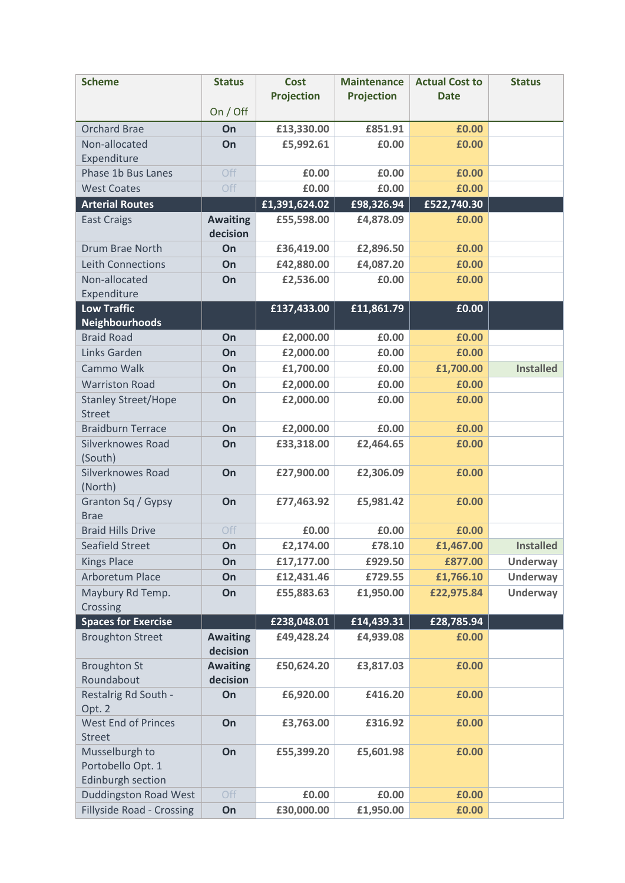| <b>Scheme</b>                        | <b>Status</b>               | <b>Cost</b><br><b>Projection</b> | <b>Maintenance</b><br><b>Projection</b> | <b>Actual Cost to</b><br><b>Date</b> | <b>Status</b>    |
|--------------------------------------|-----------------------------|----------------------------------|-----------------------------------------|--------------------------------------|------------------|
|                                      | On / Off                    |                                  |                                         |                                      |                  |
| <b>Orchard Brae</b>                  | On                          | £13,330.00                       | £851.91                                 | £0.00                                |                  |
| Non-allocated                        | On                          | £5,992.61                        | £0.00                                   | £0.00                                |                  |
| Expenditure                          |                             |                                  |                                         |                                      |                  |
| Phase 1b Bus Lanes                   | Off                         | £0.00                            | £0.00                                   | £0.00                                |                  |
| <b>West Coates</b>                   | Off                         | £0.00                            | £0.00                                   | £0.00                                |                  |
| <b>Arterial Routes</b>               |                             | £1,391,624.02                    | £98,326.94                              | £522,740.30                          |                  |
| <b>East Craigs</b>                   | <b>Awaiting</b>             | £55,598.00                       | £4,878.09                               | £0.00                                |                  |
| <b>Drum Brae North</b>               | decision<br>On              | £36,419.00                       | £2,896.50                               | £0.00                                |                  |
| <b>Leith Connections</b>             | On                          | £42,880.00                       | £4,087.20                               | £0.00                                |                  |
| Non-allocated                        |                             |                                  | £0.00                                   |                                      |                  |
| Expenditure                          | On                          | £2,536.00                        |                                         | £0.00                                |                  |
| <b>Low Traffic</b>                   |                             | £137,433.00                      | £11,861.79                              | £0.00                                |                  |
| <b>Neighbourhoods</b>                |                             |                                  |                                         |                                      |                  |
| <b>Braid Road</b>                    | On                          | £2,000.00                        | £0.00                                   | £0.00                                |                  |
| Links Garden                         | On                          | £2,000.00                        | £0.00                                   | £0.00                                |                  |
| Cammo Walk                           | On                          | £1,700.00                        | £0.00                                   | £1,700.00                            | <b>Installed</b> |
| <b>Warriston Road</b>                | On                          | £2,000.00                        | £0.00                                   | £0.00                                |                  |
| <b>Stanley Street/Hope</b>           | On                          | £2,000.00                        | £0.00                                   | £0.00                                |                  |
| <b>Street</b>                        |                             |                                  |                                         |                                      |                  |
| <b>Braidburn Terrace</b>             | On                          | £2,000.00                        | £0.00                                   | £0.00                                |                  |
| <b>Silverknowes Road</b>             | On                          | £33,318.00                       | £2,464.65                               | £0.00                                |                  |
| (South)                              |                             |                                  |                                         |                                      |                  |
| <b>Silverknowes Road</b><br>(North)  | On                          | £27,900.00                       | £2,306.09                               | £0.00                                |                  |
| Granton Sq / Gypsy                   | On                          | £77,463.92                       | £5,981.42                               | £0.00                                |                  |
| <b>Brae</b>                          |                             |                                  |                                         |                                      |                  |
| <b>Braid Hills Drive</b>             | Off                         | £0.00                            | £0.00                                   | £0.00                                |                  |
| Seafield Street                      | On                          | £2,174.00                        | £78.10                                  | £1,467.00                            | <b>Installed</b> |
| <b>Kings Place</b>                   | On                          | £17,177.00                       | £929.50                                 | £877.00                              | <b>Underway</b>  |
| <b>Arboretum Place</b>               | On                          | £12,431.46                       | £729.55                                 | £1,766.10                            | <b>Underway</b>  |
| Maybury Rd Temp.                     | On                          | £55,883.63                       | £1,950.00                               | £22,975.84                           | <b>Underway</b>  |
| Crossing                             |                             |                                  |                                         |                                      |                  |
| <b>Spaces for Exercise</b>           |                             | £238,048.01                      | £14,439.31                              | £28,785.94                           |                  |
| <b>Broughton Street</b>              | <b>Awaiting</b><br>decision | £49,428.24                       | £4,939.08                               | £0.00                                |                  |
| <b>Broughton St</b>                  | <b>Awaiting</b>             | £50,624.20                       | £3,817.03                               | £0.00                                |                  |
| Roundabout                           | decision                    |                                  |                                         |                                      |                  |
| Restalrig Rd South -                 | On                          | £6,920.00                        | £416.20                                 | £0.00                                |                  |
| Opt. 2<br><b>West End of Princes</b> | On                          | £3,763.00                        | £316.92                                 | £0.00                                |                  |
| <b>Street</b>                        |                             |                                  |                                         |                                      |                  |
| Musselburgh to                       | On                          | £55,399.20                       | £5,601.98                               | £0.00                                |                  |
| Portobello Opt. 1                    |                             |                                  |                                         |                                      |                  |
| Edinburgh section                    |                             |                                  |                                         |                                      |                  |
| <b>Duddingston Road West</b>         | Off                         | £0.00                            | £0.00                                   | £0.00                                |                  |
| <b>Fillyside Road - Crossing</b>     | On                          | £30,000.00                       | £1,950.00                               | £0.00                                |                  |